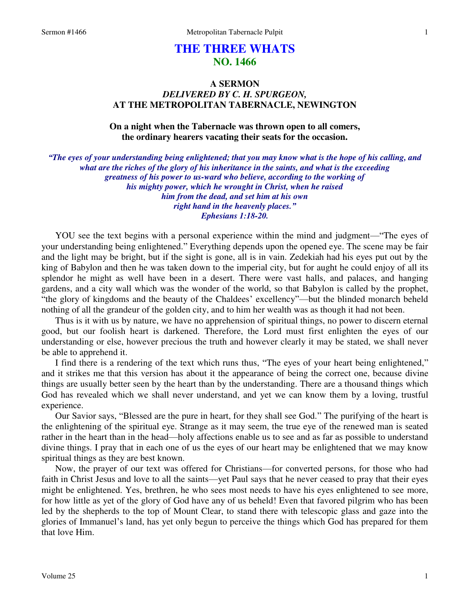# **THE THREE WHATS NO. 1466**

## **A SERMON**  *DELIVERED BY C. H. SPURGEON,*  **AT THE METROPOLITAN TABERNACLE, NEWINGTON**

## **On a night when the Tabernacle was thrown open to all comers, the ordinary hearers vacating their seats for the occasion.**

*"The eyes of your understanding being enlightened; that you may know what is the hope of his calling, and what are the riches of the glory of his inheritance in the saints, and what is the exceeding greatness of his power to us-ward who believe, according to the working of his mighty power, which he wrought in Christ, when he raised him from the dead, and set him at his own right hand in the heavenly places." Ephesians 1:18-20.* 

YOU see the text begins with a personal experience within the mind and judgment—"The eyes of your understanding being enlightened." Everything depends upon the opened eye. The scene may be fair and the light may be bright, but if the sight is gone, all is in vain. Zedekiah had his eyes put out by the king of Babylon and then he was taken down to the imperial city, but for aught he could enjoy of all its splendor he might as well have been in a desert. There were vast halls, and palaces, and hanging gardens, and a city wall which was the wonder of the world, so that Babylon is called by the prophet, "the glory of kingdoms and the beauty of the Chaldees' excellency"—but the blinded monarch beheld nothing of all the grandeur of the golden city, and to him her wealth was as though it had not been.

 Thus is it with us by nature, we have no apprehension of spiritual things, no power to discern eternal good, but our foolish heart is darkened. Therefore, the Lord must first enlighten the eyes of our understanding or else, however precious the truth and however clearly it may be stated, we shall never be able to apprehend it.

 I find there is a rendering of the text which runs thus, "The eyes of your heart being enlightened," and it strikes me that this version has about it the appearance of being the correct one, because divine things are usually better seen by the heart than by the understanding. There are a thousand things which God has revealed which we shall never understand, and yet we can know them by a loving, trustful experience.

 Our Savior says, "Blessed are the pure in heart, for they shall see God." The purifying of the heart is the enlightening of the spiritual eye. Strange as it may seem, the true eye of the renewed man is seated rather in the heart than in the head—holy affections enable us to see and as far as possible to understand divine things. I pray that in each one of us the eyes of our heart may be enlightened that we may know spiritual things as they are best known.

 Now, the prayer of our text was offered for Christians—for converted persons, for those who had faith in Christ Jesus and love to all the saints—yet Paul says that he never ceased to pray that their eyes might be enlightened. Yes, brethren, he who sees most needs to have his eyes enlightened to see more, for how little as yet of the glory of God have any of us beheld! Even that favored pilgrim who has been led by the shepherds to the top of Mount Clear, to stand there with telescopic glass and gaze into the glories of Immanuel's land, has yet only begun to perceive the things which God has prepared for them that love Him.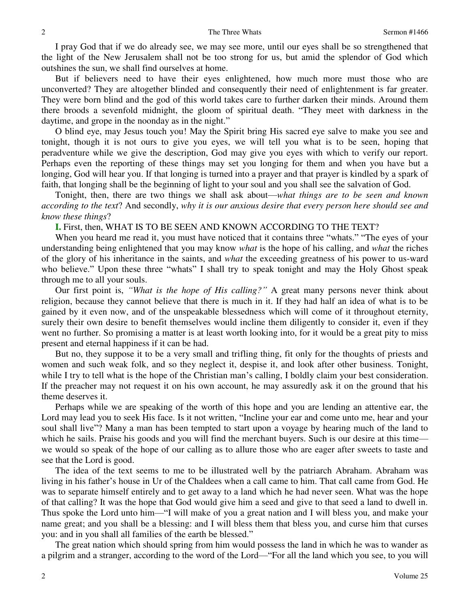I pray God that if we do already see, we may see more, until our eyes shall be so strengthened that the light of the New Jerusalem shall not be too strong for us, but amid the splendor of God which outshines the sun, we shall find ourselves at home.

 But if believers need to have their eyes enlightened, how much more must those who are unconverted? They are altogether blinded and consequently their need of enlightenment is far greater. They were born blind and the god of this world takes care to further darken their minds. Around them there broods a sevenfold midnight, the gloom of spiritual death. "They meet with darkness in the daytime, and grope in the noonday as in the night."

 O blind eye, may Jesus touch you! May the Spirit bring His sacred eye salve to make you see and tonight, though it is not ours to give you eyes, we will tell you what is to be seen, hoping that peradventure while we give the description, God may give you eyes with which to verify our report. Perhaps even the reporting of these things may set you longing for them and when you have but a longing, God will hear you. If that longing is turned into a prayer and that prayer is kindled by a spark of faith, that longing shall be the beginning of light to your soul and you shall see the salvation of God.

 Tonight, then, there are two things we shall ask about—*what things are to be seen and known according to the text*? And secondly, *why it is our anxious desire that every person here should see and know these things*?

**I.** First, then, WHAT IS TO BE SEEN AND KNOWN ACCORDING TO THE TEXT?

 When you heard me read it, you must have noticed that it contains three "whats." "The eyes of your understanding being enlightened that you may know *what* is the hope of his calling, and *what* the riches of the glory of his inheritance in the saints, and *what* the exceeding greatness of his power to us-ward who believe." Upon these three "whats" I shall try to speak tonight and may the Holy Ghost speak through me to all your souls.

 Our first point is, *"What is the hope of His calling?"* A great many persons never think about religion, because they cannot believe that there is much in it. If they had half an idea of what is to be gained by it even now, and of the unspeakable blessedness which will come of it throughout eternity, surely their own desire to benefit themselves would incline them diligently to consider it, even if they went no further. So promising a matter is at least worth looking into, for it would be a great pity to miss present and eternal happiness if it can be had.

 But no, they suppose it to be a very small and trifling thing, fit only for the thoughts of priests and women and such weak folk, and so they neglect it, despise it, and look after other business. Tonight, while I try to tell what is the hope of the Christian man's calling, I boldly claim your best consideration. If the preacher may not request it on his own account, he may assuredly ask it on the ground that his theme deserves it.

 Perhaps while we are speaking of the worth of this hope and you are lending an attentive ear, the Lord may lead you to seek His face. Is it not written, "Incline your ear and come unto me, hear and your soul shall live"? Many a man has been tempted to start upon a voyage by hearing much of the land to which he sails. Praise his goods and you will find the merchant buyers. Such is our desire at this time we would so speak of the hope of our calling as to allure those who are eager after sweets to taste and see that the Lord is good.

 The idea of the text seems to me to be illustrated well by the patriarch Abraham. Abraham was living in his father's house in Ur of the Chaldees when a call came to him. That call came from God. He was to separate himself entirely and to get away to a land which he had never seen. What was the hope of that calling? It was the hope that God would give him a seed and give to that seed a land to dwell in. Thus spoke the Lord unto him—"I will make of you a great nation and I will bless you, and make your name great; and you shall be a blessing: and I will bless them that bless you, and curse him that curses you: and in you shall all families of the earth be blessed."

 The great nation which should spring from him would possess the land in which he was to wander as a pilgrim and a stranger, according to the word of the Lord—"For all the land which you see, to you will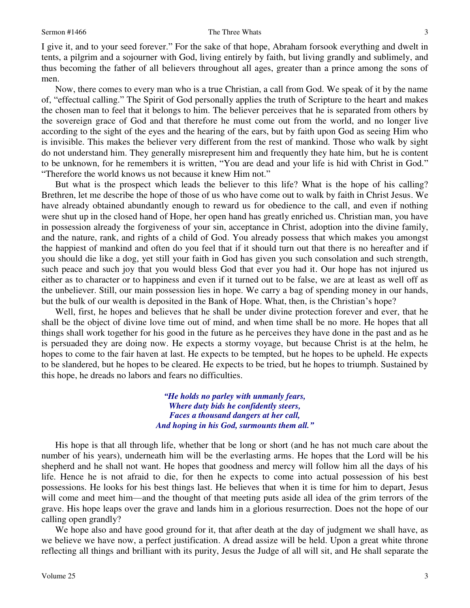I give it, and to your seed forever." For the sake of that hope, Abraham forsook everything and dwelt in tents, a pilgrim and a sojourner with God, living entirely by faith, but living grandly and sublimely, and thus becoming the father of all believers throughout all ages, greater than a prince among the sons of men.

 Now, there comes to every man who is a true Christian, a call from God. We speak of it by the name of, "effectual calling." The Spirit of God personally applies the truth of Scripture to the heart and makes the chosen man to feel that it belongs to him. The believer perceives that he is separated from others by the sovereign grace of God and that therefore he must come out from the world, and no longer live according to the sight of the eyes and the hearing of the ears, but by faith upon God as seeing Him who is invisible. This makes the believer very different from the rest of mankind. Those who walk by sight do not understand him. They generally misrepresent him and frequently they hate him, but he is content to be unknown, for he remembers it is written, "You are dead and your life is hid with Christ in God." "Therefore the world knows us not because it knew Him not."

 But what is the prospect which leads the believer to this life? What is the hope of his calling? Brethren, let me describe the hope of those of us who have come out to walk by faith in Christ Jesus. We have already obtained abundantly enough to reward us for obedience to the call, and even if nothing were shut up in the closed hand of Hope, her open hand has greatly enriched us. Christian man, you have in possession already the forgiveness of your sin, acceptance in Christ, adoption into the divine family, and the nature, rank, and rights of a child of God. You already possess that which makes you amongst the happiest of mankind and often do you feel that if it should turn out that there is no hereafter and if you should die like a dog, yet still your faith in God has given you such consolation and such strength, such peace and such joy that you would bless God that ever you had it. Our hope has not injured us either as to character or to happiness and even if it turned out to be false, we are at least as well off as the unbeliever. Still, our main possession lies in hope. We carry a bag of spending money in our hands, but the bulk of our wealth is deposited in the Bank of Hope. What, then, is the Christian's hope?

 Well, first, he hopes and believes that he shall be under divine protection forever and ever, that he shall be the object of divine love time out of mind, and when time shall be no more. He hopes that all things shall work together for his good in the future as he perceives they have done in the past and as he is persuaded they are doing now. He expects a stormy voyage, but because Christ is at the helm, he hopes to come to the fair haven at last. He expects to be tempted, but he hopes to be upheld. He expects to be slandered, but he hopes to be cleared. He expects to be tried, but he hopes to triumph. Sustained by this hope, he dreads no labors and fears no difficulties.

> *"He holds no parley with unmanly fears, Where duty bids he confidently steers, Faces a thousand dangers at her call, And hoping in his God, surmounts them all."*

 His hope is that all through life, whether that be long or short (and he has not much care about the number of his years), underneath him will be the everlasting arms. He hopes that the Lord will be his shepherd and he shall not want. He hopes that goodness and mercy will follow him all the days of his life. Hence he is not afraid to die, for then he expects to come into actual possession of his best possessions. He looks for his best things last. He believes that when it is time for him to depart, Jesus will come and meet him—and the thought of that meeting puts aside all idea of the grim terrors of the grave. His hope leaps over the grave and lands him in a glorious resurrection. Does not the hope of our calling open grandly?

We hope also and have good ground for it, that after death at the day of judgment we shall have, as we believe we have now, a perfect justification. A dread assize will be held. Upon a great white throne reflecting all things and brilliant with its purity, Jesus the Judge of all will sit, and He shall separate the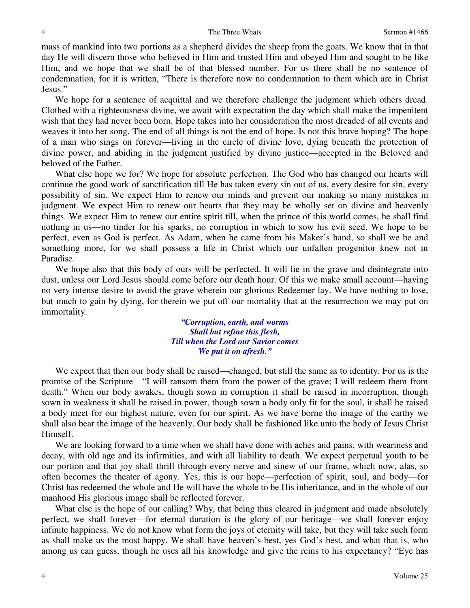mass of mankind into two portions as a shepherd divides the sheep from the goats. We know that in that day He will discern those who believed in Him and trusted Him and obeyed Him and sought to be like Him, and we hope that we shall be of that blessed number. For us there shall be no sentence of condemnation, for it is written, "There is therefore now no condemnation to them which are in Christ Jesus."

We hope for a sentence of acquittal and we therefore challenge the judgment which others dread. Clothed with a righteousness divine, we await with expectation the day which shall make the impenitent wish that they had never been born. Hope takes into her consideration the most dreaded of all events and weaves it into her song. The end of all things is not the end of hope. Is not this brave hoping? The hope of a man who sings on forever—living in the circle of divine love, dying beneath the protection of divine power, and abiding in the judgment justified by divine justice—accepted in the Beloved and beloved of the Father.

 What else hope we for? We hope for absolute perfection. The God who has changed our hearts will continue the good work of sanctification till He has taken every sin out of us, every desire for sin, every possibility of sin. We expect Him to renew our minds and prevent our making so many mistakes in judgment. We expect Him to renew our hearts that they may be wholly set on divine and heavenly things. We expect Him to renew our entire spirit till, when the prince of this world comes, he shall find nothing in us—no tinder for his sparks, no corruption in which to sow his evil seed. We hope to be perfect, even as God is perfect. As Adam, when he came from his Maker's hand, so shall we be and something more, for we shall possess a life in Christ which our unfallen progenitor knew not in Paradise.

 We hope also that this body of ours will be perfected. It will lie in the grave and disintegrate into dust, unless our Lord Jesus should come before our death hour. Of this we make small account—having no very intense desire to avoid the grave wherein our glorious Redeemer lay. We have nothing to lose, but much to gain by dying, for therein we put off our mortality that at the resurrection we may put on immortality.

> *"Corruption, earth, and worms Shall but refine this flesh, Till when the Lord our Savior comes We put it on afresh."*

 We expect that then our body shall be raised—changed, but still the same as to identity. For us is the promise of the Scripture—"I will ransom them from the power of the grave; I will redeem them from death." When our body awakes, though sown in corruption it shall be raised in incorruption, though sown in weakness it shall be raised in power, though sown a body only fit for the soul, it shall be raised a body meet for our highest nature, even for our spirit. As we have borne the image of the earthy we shall also bear the image of the heavenly. Our body shall be fashioned like unto the body of Jesus Christ Himself.

 We are looking forward to a time when we shall have done with aches and pains, with weariness and decay, with old age and its infirmities, and with all liability to death. We expect perpetual youth to be our portion and that joy shall thrill through every nerve and sinew of our frame, which now, alas, so often becomes the theater of agony. Yes, this is our hope—perfection of spirit, soul, and body—for Christ has redeemed the whole and He will have the whole to be His inheritance, and in the whole of our manhood His glorious image shall be reflected forever.

What else is the hope of our calling? Why, that being thus cleared in judgment and made absolutely perfect, we shall forever—for eternal duration is the glory of our heritage—we shall forever enjoy infinite happiness. We do not know what form the joys of eternity will take, but they will take such form as shall make us the most happy. We shall have heaven's best, yes God's best, and what that is, who among us can guess, though he uses all his knowledge and give the reins to his expectancy? "Eye has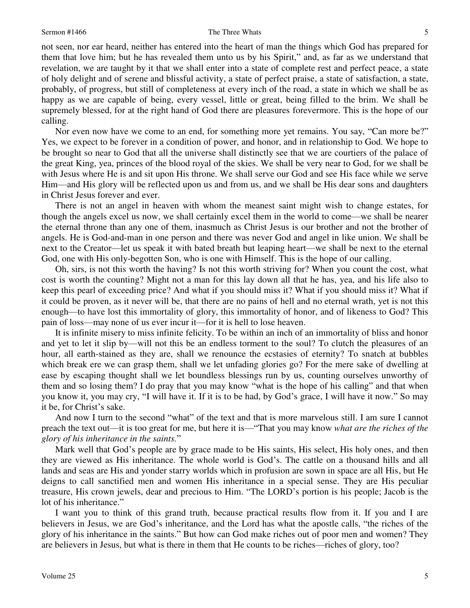not seen, nor ear heard, neither has entered into the heart of man the things which God has prepared for them that love him; but he has revealed them unto us by his Spirit," and, as far as we understand that revelation, we are taught by it that we shall enter into a state of complete rest and perfect peace, a state of holy delight and of serene and blissful activity, a state of perfect praise, a state of satisfaction, a state, probably, of progress, but still of completeness at every inch of the road, a state in which we shall be as happy as we are capable of being, every vessel, little or great, being filled to the brim. We shall be supremely blessed, for at the right hand of God there are pleasures forevermore. This is the hope of our calling.

 Nor even now have we come to an end, for something more yet remains. You say, "Can more be?" Yes, we expect to be forever in a condition of power, and honor, and in relationship to God. We hope to be brought so near to God that all the universe shall distinctly see that we are courtiers of the palace of the great King, yea, princes of the blood royal of the skies. We shall be very near to God, for we shall be with Jesus where He is and sit upon His throne. We shall serve our God and see His face while we serve Him—and His glory will be reflected upon us and from us, and we shall be His dear sons and daughters in Christ Jesus forever and ever.

 There is not an angel in heaven with whom the meanest saint might wish to change estates, for though the angels excel us now, we shall certainly excel them in the world to come—we shall be nearer the eternal throne than any one of them, inasmuch as Christ Jesus is our brother and not the brother of angels. He is God-and-man in one person and there was never God and angel in like union. We shall be next to the Creator—let us speak it with bated breath but leaping heart—we shall be next to the eternal God, one with His only-begotten Son, who is one with Himself. This is the hope of our calling.

Oh, sirs, is not this worth the having? Is not this worth striving for? When you count the cost, what cost is worth the counting? Might not a man for this lay down all that he has, yea, and his life also to keep this pearl of exceeding price? And what if you should miss it? What if you should miss it? What if it could be proven, as it never will be, that there are no pains of hell and no eternal wrath, yet is not this enough—to have lost this immortality of glory, this immortality of honor, and of likeness to God? This pain of loss—may none of us ever incur it—for it is hell to lose heaven.

 It is infinite misery to miss infinite felicity. To be within an inch of an immortality of bliss and honor and yet to let it slip by—will not this be an endless torment to the soul? To clutch the pleasures of an hour, all earth-stained as they are, shall we renounce the ecstasies of eternity? To snatch at bubbles which break ere we can grasp them, shall we let unfading glories go? For the mere sake of dwelling at ease by escaping thought shall we let boundless blessings run by us, counting ourselves unworthy of them and so losing them? I do pray that you may know "what is the hope of his calling" and that when you know it, you may cry, "I will have it. If it is to be had, by God's grace, I will have it now." So may it be, for Christ's sake.

 And now I turn to the second "what" of the text and that is more marvelous still. I am sure I cannot preach the text out—it is too great for me, but here it is—"That you may know *what are the riches of the glory of his inheritance in the saints.*"

Mark well that God's people are by grace made to be His saints, His select, His holy ones, and then they are viewed as His inheritance. The whole world is God's. The cattle on a thousand hills and all lands and seas are His and yonder starry worlds which in profusion are sown in space are all His, but He deigns to call sanctified men and women His inheritance in a special sense. They are His peculiar treasure, His crown jewels, dear and precious to Him. "The LORD's portion is his people; Jacob is the lot of his inheritance."

 I want you to think of this grand truth, because practical results flow from it. If you and I are believers in Jesus, we are God's inheritance, and the Lord has what the apostle calls, "the riches of the glory of his inheritance in the saints." But how can God make riches out of poor men and women? They are believers in Jesus, but what is there in them that He counts to be riches—riches of glory, too?

5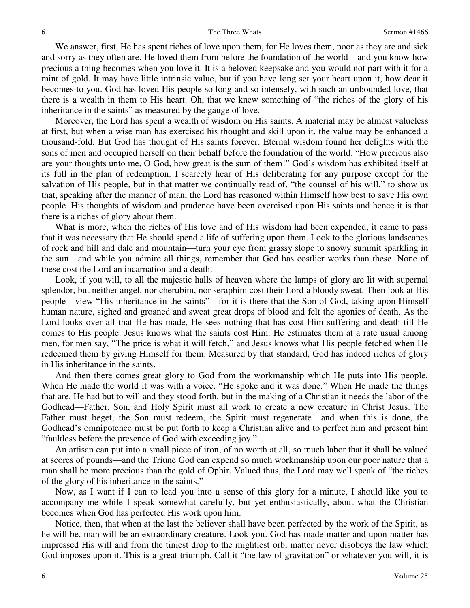We answer, first, He has spent riches of love upon them, for He loves them, poor as they are and sick and sorry as they often are. He loved them from before the foundation of the world—and you know how precious a thing becomes when you love it. It is a beloved keepsake and you would not part with it for a mint of gold. It may have little intrinsic value, but if you have long set your heart upon it, how dear it becomes to you. God has loved His people so long and so intensely, with such an unbounded love, that there is a wealth in them to His heart. Oh, that we knew something of "the riches of the glory of his inheritance in the saints" as measured by the gauge of love.

 Moreover, the Lord has spent a wealth of wisdom on His saints. A material may be almost valueless at first, but when a wise man has exercised his thought and skill upon it, the value may be enhanced a thousand-fold. But God has thought of His saints forever. Eternal wisdom found her delights with the sons of men and occupied herself on their behalf before the foundation of the world. "How precious also are your thoughts unto me, O God, how great is the sum of them!" God's wisdom has exhibited itself at its full in the plan of redemption. I scarcely hear of His deliberating for any purpose except for the salvation of His people, but in that matter we continually read of, "the counsel of his will," to show us that, speaking after the manner of man, the Lord has reasoned within Himself how best to save His own people. His thoughts of wisdom and prudence have been exercised upon His saints and hence it is that there is a riches of glory about them.

 What is more, when the riches of His love and of His wisdom had been expended, it came to pass that it was necessary that He should spend a life of suffering upon them. Look to the glorious landscapes of rock and hill and dale and mountain—turn your eye from grassy slope to snowy summit sparkling in the sun—and while you admire all things, remember that God has costlier works than these. None of these cost the Lord an incarnation and a death.

 Look, if you will, to all the majestic halls of heaven where the lamps of glory are lit with supernal splendor, but neither angel, nor cherubim, nor seraphim cost their Lord a bloody sweat. Then look at His people—view "His inheritance in the saints"—for it is there that the Son of God, taking upon Himself human nature, sighed and groaned and sweat great drops of blood and felt the agonies of death. As the Lord looks over all that He has made, He sees nothing that has cost Him suffering and death till He comes to His people. Jesus knows what the saints cost Him. He estimates them at a rate usual among men, for men say, "The price is what it will fetch," and Jesus knows what His people fetched when He redeemed them by giving Himself for them. Measured by that standard, God has indeed riches of glory in His inheritance in the saints.

 And then there comes great glory to God from the workmanship which He puts into His people. When He made the world it was with a voice. "He spoke and it was done." When He made the things that are, He had but to will and they stood forth, but in the making of a Christian it needs the labor of the Godhead—Father, Son, and Holy Spirit must all work to create a new creature in Christ Jesus. The Father must beget, the Son must redeem, the Spirit must regenerate—and when this is done, the Godhead's omnipotence must be put forth to keep a Christian alive and to perfect him and present him "faultless before the presence of God with exceeding joy."

 An artisan can put into a small piece of iron, of no worth at all, so much labor that it shall be valued at scores of pounds—and the Triune God can expend so much workmanship upon our poor nature that a man shall be more precious than the gold of Ophir. Valued thus, the Lord may well speak of "the riches of the glory of his inheritance in the saints."

 Now, as I want if I can to lead you into a sense of this glory for a minute, I should like you to accompany me while I speak somewhat carefully, but yet enthusiastically, about what the Christian becomes when God has perfected His work upon him.

 Notice, then, that when at the last the believer shall have been perfected by the work of the Spirit, as he will be, man will be an extraordinary creature. Look you. God has made matter and upon matter has impressed His will and from the tiniest drop to the mightiest orb, matter never disobeys the law which God imposes upon it. This is a great triumph. Call it "the law of gravitation" or whatever you will, it is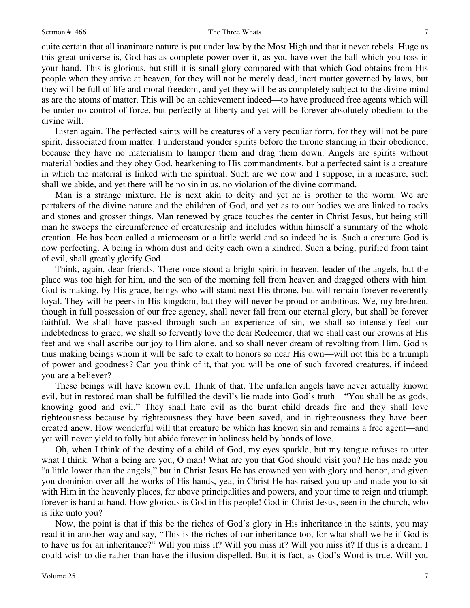### Sermon #1466 The Three Whats

quite certain that all inanimate nature is put under law by the Most High and that it never rebels. Huge as this great universe is, God has as complete power over it, as you have over the ball which you toss in your hand. This is glorious, but still it is small glory compared with that which God obtains from His people when they arrive at heaven, for they will not be merely dead, inert matter governed by laws, but they will be full of life and moral freedom, and yet they will be as completely subject to the divine mind as are the atoms of matter. This will be an achievement indeed—to have produced free agents which will be under no control of force, but perfectly at liberty and yet will be forever absolutely obedient to the divine will.

 Listen again. The perfected saints will be creatures of a very peculiar form, for they will not be pure spirit, dissociated from matter. I understand yonder spirits before the throne standing in their obedience, because they have no materialism to hamper them and drag them down. Angels are spirits without material bodies and they obey God, hearkening to His commandments, but a perfected saint is a creature in which the material is linked with the spiritual. Such are we now and I suppose, in a measure, such shall we abide, and yet there will be no sin in us, no violation of the divine command.

 Man is a strange mixture. He is next akin to deity and yet he is brother to the worm. We are partakers of the divine nature and the children of God, and yet as to our bodies we are linked to rocks and stones and grosser things. Man renewed by grace touches the center in Christ Jesus, but being still man he sweeps the circumference of creatureship and includes within himself a summary of the whole creation. He has been called a microcosm or a little world and so indeed he is. Such a creature God is now perfecting. A being in whom dust and deity each own a kindred. Such a being, purified from taint of evil, shall greatly glorify God.

 Think, again, dear friends. There once stood a bright spirit in heaven, leader of the angels, but the place was too high for him, and the son of the morning fell from heaven and dragged others with him. God is making, by His grace, beings who will stand next His throne, but will remain forever reverently loyal. They will be peers in His kingdom, but they will never be proud or ambitious. We, my brethren, though in full possession of our free agency, shall never fall from our eternal glory, but shall be forever faithful. We shall have passed through such an experience of sin, we shall so intensely feel our indebtedness to grace, we shall so fervently love the dear Redeemer, that we shall cast our crowns at His feet and we shall ascribe our joy to Him alone, and so shall never dream of revolting from Him. God is thus making beings whom it will be safe to exalt to honors so near His own—will not this be a triumph of power and goodness? Can you think of it, that you will be one of such favored creatures, if indeed you are a believer?

 These beings will have known evil. Think of that. The unfallen angels have never actually known evil, but in restored man shall be fulfilled the devil's lie made into God's truth—"You shall be as gods, knowing good and evil." They shall hate evil as the burnt child dreads fire and they shall love righteousness because by righteousness they have been saved, and in righteousness they have been created anew. How wonderful will that creature be which has known sin and remains a free agent—and yet will never yield to folly but abide forever in holiness held by bonds of love.

 Oh, when I think of the destiny of a child of God, my eyes sparkle, but my tongue refuses to utter what I think. What a being are you, O man! What are you that God should visit you? He has made you "a little lower than the angels," but in Christ Jesus He has crowned you with glory and honor, and given you dominion over all the works of His hands, yea, in Christ He has raised you up and made you to sit with Him in the heavenly places, far above principalities and powers, and your time to reign and triumph forever is hard at hand. How glorious is God in His people! God in Christ Jesus, seen in the church, who is like unto you?

 Now, the point is that if this be the riches of God's glory in His inheritance in the saints, you may read it in another way and say, "This is the riches of our inheritance too, for what shall we be if God is to have us for an inheritance?" Will you miss it? Will you miss it? Will you miss it? If this is a dream, I could wish to die rather than have the illusion dispelled. But it is fact, as God's Word is true. Will you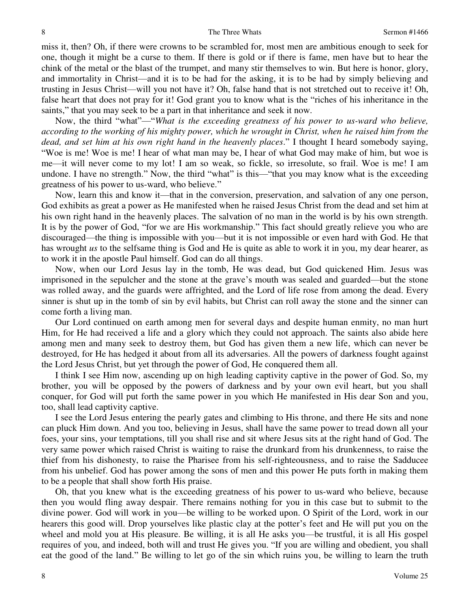miss it, then? Oh, if there were crowns to be scrambled for, most men are ambitious enough to seek for one, though it might be a curse to them. If there is gold or if there is fame, men have but to hear the chink of the metal or the blast of the trumpet, and many stir themselves to win. But here is honor, glory, and immortality in Christ—and it is to be had for the asking, it is to be had by simply believing and trusting in Jesus Christ—will you not have it? Oh, false hand that is not stretched out to receive it! Oh, false heart that does not pray for it! God grant you to know what is the "riches of his inheritance in the saints," that you may seek to be a part in that inheritance and seek it now.

 Now, the third "what"—"*What is the exceeding greatness of his power to us-ward who believe, according to the working of his mighty power, which he wrought in Christ, when he raised him from the dead, and set him at his own right hand in the heavenly places*." I thought I heard somebody saying, "Woe is me! Woe is me! I hear of what man may be, I hear of what God may make of him, but woe is me—it will never come to my lot! I am so weak, so fickle, so irresolute, so frail. Woe is me! I am undone. I have no strength." Now, the third "what" is this—"that you may know what is the exceeding greatness of his power to us-ward, who believe."

 Now, learn this and know it—that in the conversion, preservation, and salvation of any one person, God exhibits as great a power as He manifested when he raised Jesus Christ from the dead and set him at his own right hand in the heavenly places. The salvation of no man in the world is by his own strength. It is by the power of God, "for we are His workmanship." This fact should greatly relieve you who are discouraged—the thing is impossible with you—but it is not impossible or even hard with God. He that has wrought *us* to the selfsame thing is God and He is quite as able to work it in you, my dear hearer, as to work it in the apostle Paul himself. God can do all things.

 Now, when our Lord Jesus lay in the tomb, He was dead, but God quickened Him. Jesus was imprisoned in the sepulcher and the stone at the grave's mouth was sealed and guarded—but the stone was rolled away, and the guards were affrighted, and the Lord of life rose from among the dead. Every sinner is shut up in the tomb of sin by evil habits, but Christ can roll away the stone and the sinner can come forth a living man.

 Our Lord continued on earth among men for several days and despite human enmity, no man hurt Him, for He had received a life and a glory which they could not approach. The saints also abide here among men and many seek to destroy them, but God has given them a new life, which can never be destroyed, for He has hedged it about from all its adversaries. All the powers of darkness fought against the Lord Jesus Christ, but yet through the power of God, He conquered them all.

 I think I see Him now, ascending up on high leading captivity captive in the power of God. So, my brother, you will be opposed by the powers of darkness and by your own evil heart, but you shall conquer, for God will put forth the same power in you which He manifested in His dear Son and you, too, shall lead captivity captive.

 I see the Lord Jesus entering the pearly gates and climbing to His throne, and there He sits and none can pluck Him down. And you too, believing in Jesus, shall have the same power to tread down all your foes, your sins, your temptations, till you shall rise and sit where Jesus sits at the right hand of God. The very same power which raised Christ is waiting to raise the drunkard from his drunkenness, to raise the thief from his dishonesty, to raise the Pharisee from his self-righteousness, and to raise the Sadducee from his unbelief. God has power among the sons of men and this power He puts forth in making them to be a people that shall show forth His praise.

 Oh, that you knew what is the exceeding greatness of his power to us-ward who believe, because then you would fling away despair. There remains nothing for you in this case but to submit to the divine power. God will work in you—be willing to be worked upon. O Spirit of the Lord, work in our hearers this good will. Drop yourselves like plastic clay at the potter's feet and He will put you on the wheel and mold you at His pleasure. Be willing, it is all He asks you—be trustful, it is all His gospel requires of you, and indeed, both will and trust He gives you. "If you are willing and obedient, you shall eat the good of the land." Be willing to let go of the sin which ruins you, be willing to learn the truth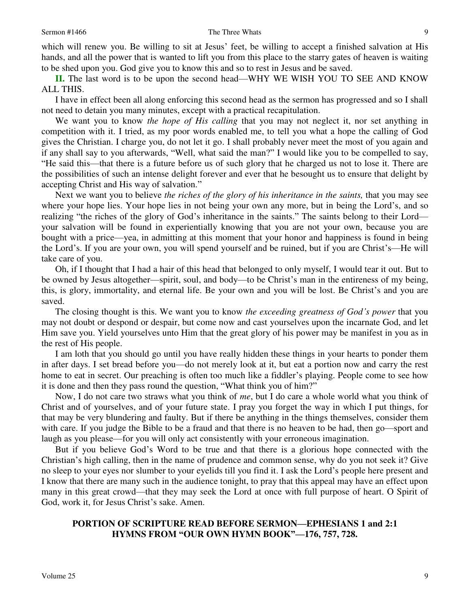which will renew you. Be willing to sit at Jesus' feet, be willing to accept a finished salvation at His hands, and all the power that is wanted to lift you from this place to the starry gates of heaven is waiting to be shed upon you. God give you to know this and so to rest in Jesus and be saved.

**II.** The last word is to be upon the second head—WHY WE WISH YOU TO SEE AND KNOW ALL THIS.

 I have in effect been all along enforcing this second head as the sermon has progressed and so I shall not need to detain you many minutes, except with a practical recapitulation.

 We want you to know *the hope of His calling* that you may not neglect it, nor set anything in competition with it. I tried, as my poor words enabled me, to tell you what a hope the calling of God gives the Christian. I charge you, do not let it go. I shall probably never meet the most of you again and if any shall say to you afterwards, "Well, what said the man?" I would like you to be compelled to say, "He said this—that there is a future before us of such glory that he charged us not to lose it. There are the possibilities of such an intense delight forever and ever that he besought us to ensure that delight by accepting Christ and His way of salvation."

Next we want you to believe *the riches of the glory of his inheritance in the saints*, that you may see where your hope lies. Your hope lies in not being your own any more, but in being the Lord's, and so realizing "the riches of the glory of God's inheritance in the saints." The saints belong to their Lord your salvation will be found in experientially knowing that you are not your own, because you are bought with a price—yea, in admitting at this moment that your honor and happiness is found in being the Lord's. If you are your own, you will spend yourself and be ruined, but if you are Christ's—He will take care of you.

 Oh, if I thought that I had a hair of this head that belonged to only myself, I would tear it out. But to be owned by Jesus altogether—spirit, soul, and body—to be Christ's man in the entireness of my being, this, is glory, immortality, and eternal life. Be your own and you will be lost. Be Christ's and you are saved.

 The closing thought is this. We want you to know *the exceeding greatness of God's power* that you may not doubt or despond or despair, but come now and cast yourselves upon the incarnate God, and let Him save you. Yield yourselves unto Him that the great glory of his power may be manifest in you as in the rest of His people.

 I am loth that you should go until you have really hidden these things in your hearts to ponder them in after days. I set bread before you—do not merely look at it, but eat a portion now and carry the rest home to eat in secret. Our preaching is often too much like a fiddler's playing. People come to see how it is done and then they pass round the question, "What think you of him?"

 Now, I do not care two straws what you think of *me*, but I do care a whole world what you think of Christ and of yourselves, and of your future state. I pray you forget the way in which I put things, for that may be very blundering and faulty. But if there be anything in the things themselves, consider them with care. If you judge the Bible to be a fraud and that there is no heaven to be had, then go—sport and laugh as you please—for you will only act consistently with your erroneous imagination.

 But if you believe God's Word to be true and that there is a glorious hope connected with the Christian's high calling, then in the name of prudence and common sense, why do you not seek it? Give no sleep to your eyes nor slumber to your eyelids till you find it. I ask the Lord's people here present and I know that there are many such in the audience tonight, to pray that this appeal may have an effect upon many in this great crowd—that they may seek the Lord at once with full purpose of heart. O Spirit of God, work it, for Jesus Christ's sake. Amen.

### **PORTION OF SCRIPTURE READ BEFORE SERMON—EPHESIANS 1 and 2:1 HYMNS FROM "OUR OWN HYMN BOOK"—176, 757, 728.**